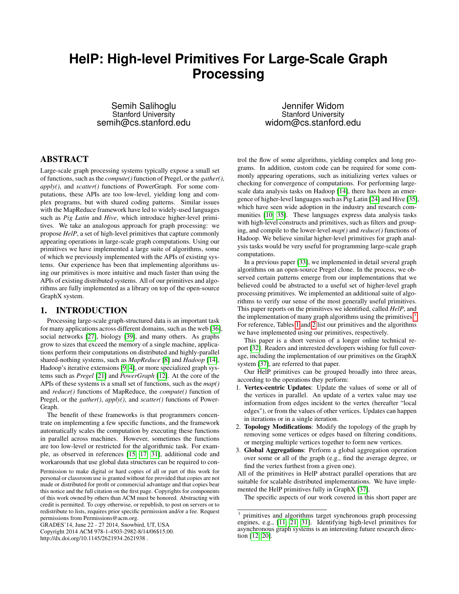# **HelP: High-level Primitives For Large-Scale Graph Processing**

Semih Salihoglu Stanford University semih@cs.stanford.edu

Jennifer Widom Stanford University widom@cs.stanford.edu

# ABSTRACT

Large-scale graph processing systems typically expose a small set of functions, such as the *compute()* function of Pregel, or the *gather()*, *apply()*, and *scatter()* functions of PowerGraph. For some computations, these APIs are too low-level, yielding long and complex programs, but with shared coding patterns. Similar issues with the MapReduce framework have led to widely-used languages such as *Pig Latin* and *Hive*, which introduce higher-level primitives. We take an analogous approach for graph processing: we propose *HelP*, a set of high-level primitives that capture commonly appearing operations in large-scale graph computations. Using our primitives we have implemented a large suite of algorithms, some of which we previously implemented with the APIs of existing systems. Our experience has been that implementing algorithms using our primitives is more intuitive and much faster than using the APIs of existing distributed systems. All of our primitives and algorithms are fully implemented as a library on top of the open-source GraphX system.

#### 1. INTRODUCTION

Processing large-scale graph-structured data is an important task for many applications across different domains, such as the web [\[36\]](#page-5-0), social networks [\[27\]](#page-5-1), biology [\[39\]](#page-5-2), and many others. As graphs grow to sizes that exceed the memory of a single machine, applications perform their computations on distributed and highly-parallel shared-nothing systems, such as *MapReduce* [\[8\]](#page-5-3) and *Hadoop* [\[14\]](#page-5-4), Hadoop's iterative extensions [\[9,](#page-5-5) [4\]](#page-5-6), or more specialized graph systems such as *Pregel* [\[21\]](#page-5-7) and *PowerGraph* [\[12\]](#page-5-8). At the core of the APIs of these systems is a small set of functions, such as the *map()* and *reduce()* functions of MapReduce, the *compute()* function of Pregel, or the *gather()*, *apply()*, and *scatter()* functions of Power-Graph.

The benefit of these frameworks is that programmers concentrate on implementing a few specific functions, and the framework automatically scales the computation by executing these functions in parallel across machines. However, sometimes the functions are too low-level or restricted for the algorithmic task. For example, as observed in references [\[15,](#page-5-9) [17,](#page-5-10) [31\]](#page-5-11), additional code and workarounds that use global data structures can be required to con-

Permission to make digital or hard copies of all or part of this work for personal or classroom use is granted without fee provided that copies are not made or distributed for profit or commercial advantage and that copies bear this notice and the full citation on the first page. Copyrights for components of this work owned by others than ACM must be honored. Abstracting with credit is permitted. To copy otherwise, or republish, to post on servers or to redistribute to lists, requires prior specific permission and/or a fee. Request permissions from Permissions@acm.org.

GRADES'14, June 22 - 27 2014, Snowbird, UT, USA Copyright 2014 ACM 978-1-4503-2982-8/14/06\$15.00. http://dx.doi.org/10.1145/2621934.2621938 .

trol the flow of some algorithms, yielding complex and long programs. In addition, custom code can be required for some commonly appearing operations, such as initializing vertex values or checking for convergence of computations. For performing largescale data analysis tasks on Hadoop [\[14\]](#page-5-4), there has been an emergence of higher-level languages such as Pig Latin [\[24\]](#page-5-12) and Hive [\[35\]](#page-5-13), which have seen wide adoption in the industry and research communities [\[10,](#page-5-14) [35\]](#page-5-13). These languages express data analysis tasks with high-level constructs and primitives, such as filters and grouping, and compile to the lower-level *map()* and *reduce()* functions of Hadoop. We believe similar higher-level primitives for graph analysis tasks would be very useful for programming large-scale graph computations.

In a previous paper [\[33\]](#page-5-15), we implemented in detail several graph algorithms on an open-source Pregel clone. In the process, we observed certain patterns emerge from our implementations that we believed could be abstracted to a useful set of higher-level graph processing primitives. We implemented an additional suite of algorithms to verify our sense of the most generally useful primitives. This paper reports on the primitives we identified, called *HelP*, and the implementation of many graph algorithms using the primitives.<sup>[1](#page-0-0)</sup> For reference, Tables [1](#page-1-0) and [2](#page-1-1) list our primitives and the algorithms we have implemented using our primitives, respectively.

This paper is a short version of a longer online technical report [\[32\]](#page-5-16). Readers and interested developers wishing for full coverage, including the implementation of our primitives on the GraphX system [\[37\]](#page-5-17), are referred to that paper.

Our HelP primitives can be grouped broadly into three areas, according to the operations they perform:

- 1. Vertex-centric Updates: Update the values of some or all of the vertices in parallel. An update of a vertex value may use information from edges incident to the vertex (hereafter "local edges"), or from the values of other vertices. Updates can happen in iterations or in a single iteration.
- 2. Topology Modifications: Modify the topology of the graph by removing some vertices or edges based on filtering conditions, or merging multiple vertices together to form new vertices.
- 3. Global Aggregations: Perform a global aggregation operation over some or all of the graph (e.g., find the average degree, or find the vertex furthest from a given one).

All of the primitives in HelP abstract parallel operations that are suitable for scalable distributed implementations. We have implemented the HelP primitives fully in GraphX [\[37\]](#page-5-17).

The specific aspects of our work covered in this short paper are

<span id="page-0-0"></span><sup>1</sup> primitives and algorithms target synchronous graph processing engines, e.g., [\[11,](#page-5-18) [21,](#page-5-7) [31\]](#page-5-11). Identifying high-level primitives for asynchronous graph systems is an interesting future research direction [\[12,](#page-5-8) [20\]](#page-5-19).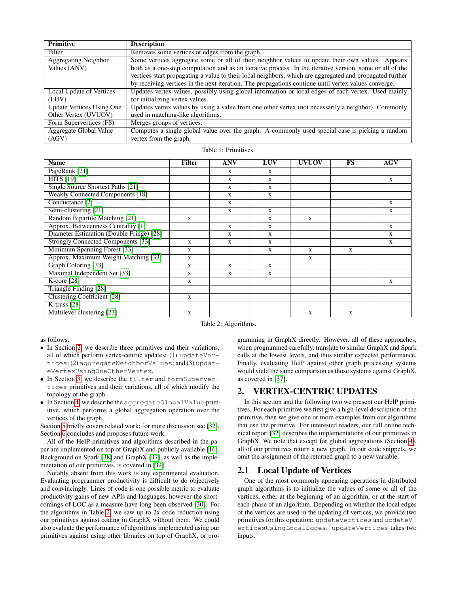<span id="page-1-0"></span>

| <b>Primitive</b>                 | <b>Description</b>                                                                                       |
|----------------------------------|----------------------------------------------------------------------------------------------------------|
| Filter                           | Removes some vertices or edges from the graph.                                                           |
| <b>Aggregating Neighbor</b>      | Some vertices aggregate some or all of their neighbor values to update their own values. Appears         |
| Values (ANV)                     | both as a one-step computation and as an iterative process. In the iterative version, some or all of the |
|                                  | vertices start propagating a value to their local neighbors, which are aggregated and propagated further |
|                                  | by receiving vertices in the next iteration. The propagations continue until vertex values converge.     |
| Local Update of Vertices         | Updates vertex values, possibly using global information or local edges of each vertex. Used mainly      |
| (LUV)                            | for initializing vertex values.                                                                          |
| <b>Update Vertices Using One</b> | Updates vertex values by using a value from one other vertex (not necessarily a neighbor). Commonly      |
| Other Vertex (UVUOV)             | used in matching-like algorithms.                                                                        |
| Form Supervertices (FS)          | Merges groups of vertices.                                                                               |
| Aggregate Global Value           | Computes a single global value over the graph. A commonly used special case is picking a random          |
| (AGV)                            | vertex from the graph.                                                                                   |

|  | Table 1: Primitives. |
|--|----------------------|
|--|----------------------|

<span id="page-1-1"></span>

| Name                                      | <b>Filter</b> | ANV          | LUV          | UVUOV        | FS | <b>AGV</b>   |
|-------------------------------------------|---------------|--------------|--------------|--------------|----|--------------|
| PageRank [21]                             |               | $\mathbf{x}$ | $\mathbf{x}$ |              |    |              |
| <b>HITS</b> [19]                          |               | $\mathbf{x}$ | X            |              |    | $\mathbf{x}$ |
| Single Source Shortest Paths [21]         |               | $\mathbf{x}$ | $\mathbf{x}$ |              |    |              |
| <b>Weakly Connected Components</b> [18]   |               | $\mathbf{x}$ | $\mathbf{x}$ |              |    |              |
| Conductance [2]                           |               | X            |              |              |    | X            |
| Semi-clustering [21]                      |               | $\mathbf x$  | $\mathbf{x}$ |              |    | X            |
| Random Bipartite Matching [21]            | X             |              | X            | $\mathbf{x}$ |    |              |
| Approx. Betweenness Centrality [1]        |               | $\mathbf{x}$ | $\mathbf{x}$ |              |    | X            |
| Diameter Estimation (Double Fringe) [28]  |               | $\mathbf{x}$ | $\mathbf{x}$ |              |    | X            |
| <b>Strongly Connected Components</b> [33] | X             | X            | X            |              |    | X            |
| Minimum Spanning Forest [33]              | X             |              | $\mathbf{x}$ | X            | X  |              |
| Approx. Maximum Weight Matching [33]      | $\mathbf x$   |              |              | X            |    |              |
| Graph Coloring [33]                       | X             | $\mathbf{x}$ | X            |              |    |              |
| Maximal Independent Set [33]              | X             | X            | $\mathbf{x}$ |              |    |              |
| $K$ -core [28]                            | X             |              |              |              |    | X            |
| Triangle Finding [28]                     |               |              |              |              |    |              |
| <b>Clustering Coefficient</b> [28]        | X             |              |              |              |    |              |
| K-truss $[28]$                            |               |              |              |              |    |              |
| Multilevel clustering [23]                | X             |              |              | X            | X  |              |

Table 2: Algorithms.

as follows:

- In Section [2,](#page-1-2) we describe three primitives and their variations, all of which perform vertex-centric updates: (1) updateVertices; (2) aggregateNeighborValues; and (3) updateVertexUsingOneOtherVertex.
- In Section [3,](#page-3-0) we describe the filter and formSupervertices primitives and their variations, all of which modify the topology of the graph.
- In Section [4,](#page-4-0) we describe the aggregateGlobalValue primitive, which performs a global aggregation operation over the vertices of the graph.

Section [5](#page-4-1) briefly covers related work; for more discussion see [\[32\]](#page-5-16). Section [6](#page-5-26) concludes and proposes future work.

All of the HelP primitives and algorithms described in the paper are implemented on top of GraphX and publicly available [\[16\]](#page-5-27). Background on Spark [\[38\]](#page-5-28) and GraphX [\[37\]](#page-5-17), as well as the implementation of our primitives, is covered in [\[32\]](#page-5-16).

Notably absent from this work is any experimental evaluation. Evaluating programmer productivity is difficult to do objectively and convincingly. Lines of code is one possible metric to evaluate productivity gains of new APIs and languages, however the shortcomings of LOC as a measure have long been observed [\[30\]](#page-5-29). For the algorithms in Table [2,](#page-1-1) we saw up to 2x code reduction using our primitives against coding in GraphX without them. We could also evaluate the performance of algorithms implemented using our primitives against using other libraries on top of GraphX, or pro-

gramming in GraphX directly. However, all of these approaches, when programmed carefully, translate to similar GraphX and Spark calls at the lowest levels, and thus similar expected performance. Finally, evaluating HelP against other graph processing systems would yield the same comparison as those systems against GraphX, as covered in [\[37\]](#page-5-17).

# <span id="page-1-2"></span>2. VERTEX-CENTRIC UPDATES

In this section and the following two we present our HelP primitives. For each primitive we first give a high-level description of the primitive, then we give one or more examples from our algorithms that use the primitive. For interested readers, our full online technical report [\[32\]](#page-5-16) describes the implementations of our primitives in GraphX. We note that except for global aggregations (Section [4\)](#page-4-0), all of our primitives return a new graph. In our code snippets, we omit the assignment of the returned graph to a new variable.

# 2.1 Local Update of Vertices

One of the most commonly appearing operations in distributed graph algorithms is to initialize the values of some or all of the vertices, either at the beginning of an algorithm, or at the start of each phase of an algorithm. Depending on whether the local edges of the vertices are used in the updating of vertices, we provide two primitives for this operation: updateVertices and updateVerticesUsingLocalEdges. updateVertices takes two inputs: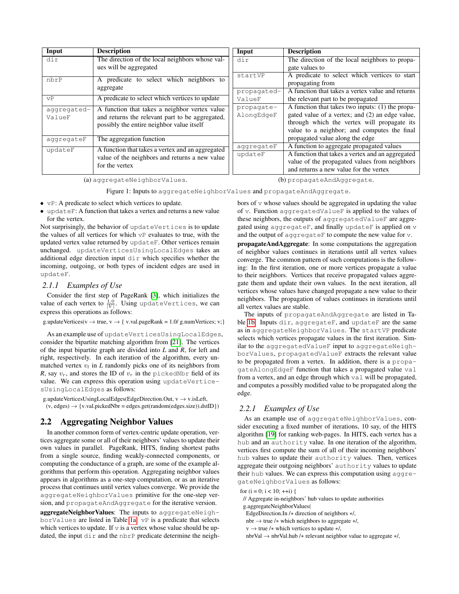<span id="page-2-0"></span>

| Input                 | <b>Description</b>                                                                                                                            | Input                    | <b>Description</b>                                                                                                                                                                       |
|-----------------------|-----------------------------------------------------------------------------------------------------------------------------------------------|--------------------------|------------------------------------------------------------------------------------------------------------------------------------------------------------------------------------------|
| dir                   | The direction of the local neighbors whose val-                                                                                               | dir                      | The direction of the local neighbors to propa-                                                                                                                                           |
|                       | ues will be aggregated                                                                                                                        |                          | gate values to                                                                                                                                                                           |
| nbrP                  | A predicate to select which neighbors to                                                                                                      | startVP                  | A predicate to select which vertices to start<br>propagating from                                                                                                                        |
| vP                    | aggregate<br>A predicate to select which vertices to update                                                                                   | propagated-              | A function that takes a vertex value and returns                                                                                                                                         |
|                       |                                                                                                                                               | ValueF                   | the relevant part to be propagated<br>A function that takes two inputs: (1) the propa-                                                                                                   |
| aggregated-<br>ValueF | A function that takes a neighbor vertex value<br>and returns the relevant part to be aggregated,<br>possibly the entire neighbor value itself | propagate-<br>AlongEdgeF | gated value of a vertex; and (2) an edge value,<br>through which the vertex will propagate its<br>value to a neighbor; and computes the final                                            |
| aqqreqateF            | The aggregation function                                                                                                                      |                          | propagated value along the edge                                                                                                                                                          |
| updateF               | A function that takes a vertex and an aggregated<br>value of the neighbors and returns a new value<br>for the vertex                          | aggregateF<br>updateF    | A function to aggregate propagated values<br>A function that takes a vertex and an aggregated<br>value of the propagated values from neighbors<br>and returns a new value for the vertex |

(a) aggregateNeighborValues.

<span id="page-2-1"></span>(b) propagateAndAggregate.

Figure 1: Inputs to aggregateNeighborValues and propagateAndAggregate.

- vP: A predicate to select which vertices to update.
- updateF: A function that takes a vertex and returns a new value for the vertex.

Not surprisingly, the behavior of updateVertices is to update the values of all vertices for which vP evaluates to true, with the updated vertex value returned by updateF. Other vertices remain unchanged. updateVerticesUsingLocalEdges takes an additional edge direction input dir which specifies whether the incoming, outgoing, or both types of incident edges are used in updateF.

#### *2.1.1 Examples of Use*

Consider the first step of PageRank [\[3\]](#page-5-30), which initializes the value of each vertex to  $\frac{1.0}{|V|}$ . Using updateVertices, we can express this operations as follows:

g.updateVertices(v  $\rightarrow$  true, v  $\rightarrow$  { v.val.pageRank = 1.0/ g.numVertices; v;}

As an example use of updateVerticesUsingLocalEdges, consider the bipartite matching algorithm from [\[21\]](#page-5-7). The vertices of the input bipartite graph are divided into *L* and *R*, for left and right, respectively. In each iteration of the algorithm, every unmatched vertex  $v_l$  in  $L$  randomly picks one of its neighbors from *R*, say  $v_r$ , and stores the ID of  $v_r$  in the pickedNbr field of its value. We can express this operation using updateVerticesUsingLocalEdges as follows:

g.updateVerticesUsingLocalEdges(EdgeDirection.Out,  $v \rightarrow v$ .isLeft,  $(v, edges) \rightarrow \{v.val.pickedNbr = edges.get(range, size)).dstID\})$ 

## 2.2 Aggregating Neighbor Values

In another common form of vertex-centric update operation, vertices aggregate some or all of their neighbors' values to update their own values in parallel. PageRank, HITS, finding shortest paths from a single source, finding weakly-connected components, or computing the conductance of a graph, are some of the example algorithms that perform this operation. Aggregating neighbor values appears in algorithms as a one-step computation, or as an iterative process that continues until vertex values converge. We provide the aggregateNeighborValues primitive for the one-step version, and propagateAndAggregate for the iterative version.

aggregateNeighborValues: The inputs to aggregateNeighborValues are listed in Table [1a.](#page-2-0) vP is a predicate that selects which vertices to update. If  $\nu$  is a vertex whose value should be updated, the input  $\text{dir}$  and the nbrP predicate determine the neighbors of v whose values should be aggregated in updating the value of v. Function aggregatedValueF is applied to the values of these neighbors, the outputs of aggregatedValueF are aggregated using aggregateF, and finally updateF is applied on v and the output of aggregateF to compute the new value for v.

propagateAndAggregate: In some computations the aggregation of neighbor values continues in iterations until all vertex values converge. The common pattern of such computations is the following: In the first iteration, one or more vertices propagate a value to their neighbors. Vertices that receive propagated values aggregate them and update their own values. In the next iteration, all vertices whose values have changed propagate a new value to their neighbors. The propagation of values continues in iterations until all vertex values are stable.

The inputs of propagateAndAggregate are listed in Table [1b.](#page-2-1) Inputs dir, aggregateF, and updateF are the same as in aggregateNeighborValues. The startVP predicate selects which vertices propagate values in the first iteration. Similar to the aggregatedValueF input to aggregateNeighborValues, propagatedValueF extracts the relevant value to be propagated from a vertex. In addition, there is a propagateAlongEdgeF function that takes a propagated value val from a vertex, and an edge through which  $\text{val}$  will be propagated, and computes a possibly modified value to be propagated along the edge.

## *2.2.1 Examples of Use*

As an example use of aggregateNeighborValues, consider executing a fixed number of iterations, 10 say, of the HITS algorithm [\[19\]](#page-5-20) for ranking web-pages. In HITS, each vertex has a hub and an authority value. In one iteration of the algorithm, vertices first compute the sum of all of their incoming neighbors' hub values to update their authority values. Then, vertices aggregate their outgoing neighbors' authority values to update their hub values. We can express this computation using aggregateNeighborValues as follows:

// Aggregate in-neighbors' hub values to update authorities g.aggregateNeighborValues(

EdgeDirection.In /∗ direction of neighbors ∗/,

nbr → true /∗ which neighbors to aggregate ∗/,

v → true /∗ which vertices to update ∗/,

nbrVal → nbrVal.hub /∗ relevant neighbor value to aggregate ∗/,

for  $(i = 0; i < 10; ++i)$  {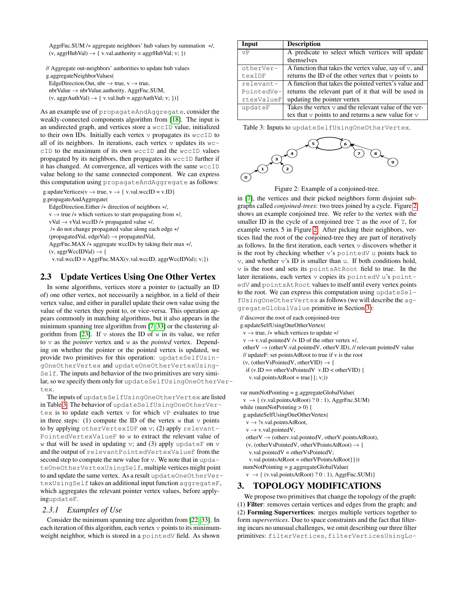AggrFnc.SUM /∗ aggregate neighbors' hub values by summation ∗/,  $(v, \text{aggrHubVal}) \rightarrow \{ v. \text{val.} \text{authority} = \text{aggrHubVal}; v; \}$ 

// Aggregate out-neighbors' authorities to update hub values g.aggregateNeighborValues( EdgeDirection.Out, nbr  $\rightarrow$  true,  $v \rightarrow$  true,  $n$ hbrValue  $\rightarrow$  nbrValue.authority, AggrFnc.SUM,  $(v, \text{aggr}(A, Va) \rightarrow \{ v. \text{val.hub} = \text{aggr}(A, Va, V; \} )\}$ 

As an example use of propagateAndAggregate, consider the weakly-connected components algorithm from [\[18\]](#page-5-21). The input is an undirected graph, and vertices store a wccID value, initialized to their own IDs. Initially each vertex v propagates its wccID to all of its neighbors. In iterations, each vertex v updates its wccID to the maximum of its own wccID and the wccID values propagated by its neighbors, then propagates its wccID further if it has changed. At convergence, all vertices with the same wccID value belong to the same connected component. We can express this computation using propagateAndAggregate as follows:

g.updateVertices( $v \rightarrow true$ ,  $v \rightarrow$  {  $v.val.wccID = v.ID$ } g.propagateAndAggregate( EdgeDirection.Either /∗ direction of neighbors ∗/, v → true /∗ which vertices to start propagating from ∗/,

vVal → vVal.wccID /∗ propagated value ∗/, /∗ do not change propagated value along each edge ∗/

 $(propagatedVal, edgeVal) \rightarrow propagatedVal,$ 

AggrFnc.MAX /∗ aggregate wccIDs by taking their max ∗/,

 $(v, \text{aggrWccIDVal}) \rightarrow \{$ 

v.val.wccID = AggrFnc.MAX(v.val.wccID, aggrWccIDVal); v;})

# 2.3 Update Vertices Using One Other Vertex

In some algorithms, vertices store a pointer to (actually an ID of) one other vertex, not necessarily a neighbor, in a field of their vertex value, and either in parallel update their own value using the value of the vertex they point to, or vice-versa. This operation appears commonly in matching algorithms, but it also appears in the minimum spanning tree algorithm from [\[7,](#page-5-31) [33\]](#page-5-15) or the clustering al-gorithm from [\[23\]](#page-5-25). If  $\nu$  stores the ID of  $\nu$  in its value, we refer to v as the *pointer* vertex and w as the *pointed* vertex. Depending on whether the pointer or the pointed vertex is updated, we provide two primitives for this operation: updateSelfUsingOneOtherVertex and updateOneOtherVertexUsing-Self. The inputs and behavior of the two primitives are very similar, so we specify them only for updateSelfUsingOneOtherVertex.

The inputs of updateSelfUsingOneOtherVertex are listed in Table [3.](#page-3-1) The behavior of updateSelfUsingOneOtherVertex is to update each vertex  $\nabla$  for which  $\nabla$ P evaluates to true in three steps: (1) compute the ID of the vertex  $w$  that  $v$  points to by applying otherVertexIDF on v; (2) apply relevant-PointedVertexValueF to w to extract the relevant value of w that will be used in updating v; and (3) apply update F on  $\vee$ and the output of relevantPointedVertexValueF from the second step to compute the new value for v. We note that in updateOneOtherVertexUsingSelf, multiple vertices might point to and update the same vertex. As a result updateOneOtherVertexUsingSelf takes an additional input function aggregateF, which aggregates the relevant pointer vertex values, before applyingupdateF.

#### <span id="page-3-3"></span>*2.3.1 Examples of Use*

Consider the minimum spanning tree algorithm from [\[22,](#page-5-32) [33\]](#page-5-15). In each iteration of this algorithm, each vertex  $\nu$  points to its minimumweight neighbor, which is stored in a pointedV field. As shown

<span id="page-3-1"></span>

| Input      | <b>Description</b>                                            |
|------------|---------------------------------------------------------------|
| vP         | A predicate to select which vertices will update              |
|            | themselves                                                    |
| otherVer-  | A function that takes the vertex value, say of $\nabla$ , and |
| texTDF     | returns the ID of the other vertex that $\nu$ points to       |
| relevant-  | A function that takes the pointed vertex's value and          |
| PointedVe- | returns the relevant part of it that will be used in          |
| rtexValueF | updating the pointer vertex                                   |
| updateF    | Takes the vertex $\vee$ and the relevant value of the ver-    |
|            | tex that $\nu$ points to and returns a new value for $\nu$    |

Table 3: Inputs to updateSelfUsingOneOtherVertex.

<span id="page-3-2"></span>

Figure 2: Example of a conjoined-tree.

in [\[7\]](#page-5-31), the vertices and their picked neighbors form disjoint subgraphs called *conjoined-trees*: two trees joined by a cycle. Figure [2](#page-3-2) shows an example conjoined tree. We refer to the vertex with the smaller ID in the cycle of a conjoined tree T as the *root* of T, for example vertex 5 in Figure [2.](#page-3-2) After picking their neighbors, vertices find the root of the conjoined-tree they are part of iteratively as follows. In the first iteration, each vertex  $\nu$  discovers whether it is the root by checking whether v's pointedV u points back to v, and whether v's ID is smaller than u. If both conditions hold, v is the root and sets its pointsAtRoot field to true. In the later iterations, each vertex v copies its pointedV u's pointedV and pointsAtRoot values to itself until every vertex points to the root. We can express this computation using updateSelfUsingOneOtherVertex as follows (we will describe the aggregateGlobalValue primitive in Section [3\)](#page-3-0):

// discover the root of each conjoined-tree g.updateSelfUsingOneOtherVertex(

- 
- $v \rightarrow$  true, / $*$  which vertices to update  $*$ /
- $v \rightarrow v$ .val.pointedV /\* ID of the other vertex \*/,

other V  $\rightarrow$  (other V val.pointed V, other V JD), // relevant pointed V value

- // updateF: set pointsAtRoot to true if v is the root
- $(v, (otherVsPointedV, otherVID) \rightarrow \{$
- if  $(v.ID == otherVsPointedV v.ID < otherVID)$  {  $v.val.pointsAtRoot = true}$ ;  $v$ ;))

var numNotPointing = g.aggregateGlobalValue(

 $v \rightarrow$  { (v.val.pointsAtRoot) ? 0 : 1), AggrFnc.SUM)

while (numNotPointing > 0) {

```
g.updateSelfUsingOneOtherVertex(
```

```
v \rightarrow !v.val.pointsAtRoot,
```

```
v \rightarrow v.val.pointedV,
```
 $otherV \rightarrow (otherv.val.pointedV, otherV.pointsAtRoot),$ 

- $(v, (otherVsPointedV, other VPointsAtRoot) \rightarrow \{$
- v.val.pointedV = otherVsPointedV;
- v.val.pointsAtRoot = otherVPointsAtRoot}}))

numNotPointing = g.aggregateGlobalValue(

 $v \rightarrow \{ (v.val.pointsAtRoot) ? 0 : 1), AggrFnc.SUM) \}$ 

# <span id="page-3-0"></span>3. TOPOLOGY MODIFICATIONS

We propose two primitives that change the topology of the graph: (1) Filter: removes certain vertices and edges from the graph; and (2) Forming Supervertices: merges multiple vertices together to form *supervertices*. Due to space constraints and the fact that filtering incurs no unusual challenges, we omit describing our three filter primitives: filterVertices, filterVerticesUsingLo-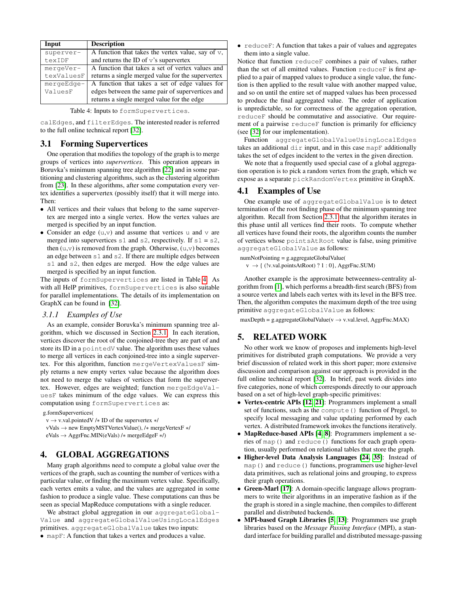<span id="page-4-2"></span>

| Input      | <b>Description</b>                                        |
|------------|-----------------------------------------------------------|
| superver-  | A function that takes the vertex value, say of $\nabla$ , |
| texIDF     | and returns the ID of $v$ 's supervertex                  |
| mergeVer-  | A function that takes a set of vertex values and          |
| texValuesF | returns a single merged value for the supervertex         |
| mergeEdge- | A function that takes a set of edge values for            |
| ValuesF    | edges between the same pair of supervertices and          |
|            | returns a single merged value for the edge                |

Table 4: Inputs to formSupervertices.

calEdges, and filterEdges. The interested reader is referred to the full online technical report [\[32\]](#page-5-16).

# 3.1 Forming Supervertices

One operation that modifies the topology of the graph is to merge groups of vertices into *supervertices*. This operation appears in Boruvka's minimum spanning tree algorithm [\[22\]](#page-5-32) and in some partitioning and clustering algorithms, such as the clustering algorithm from [\[23\]](#page-5-25). In these algorithms, after some computation every vertex identifies a supervertex (possibly itself) that it will merge into. Then:

- All vertices and their values that belong to the same supervertex are merged into a single vertex. How the vertex values are merged is specified by an input function.
- Consider an edge  $(u,v)$  and assume that vertices u and v are merged into supervertices  $s1$  and  $s2$ , respectively. If  $s1 = s2$ , then  $(u, v)$  is removed from the graph. Otherwise,  $(u, v)$  becomes an edge between s1 and s2. If there are multiple edges between s1 and s2, then edges are merged. How the edge values are merged is specified by an input function.

The inputs of formSupervertices are listed in Table [4.](#page-4-2) As with all HelP primitives, formSupervertices is also suitable for parallel implementations. The details of its implementation on GraphX can be found in [\[32\]](#page-5-16).

#### *3.1.1 Examples of Use*

As an example, consider Boruvka's minimum spanning tree algorithm, which we discussed in Section [2.3.1.](#page-3-3) In each iteration, vertices discover the root of the conjoined-tree they are part of and store its ID in a pointedV value. The algorithm uses these values to merge all vertices in each conjoined-tree into a single supervertex. For this algorithm, function mergeVertexValuesF simply returns a new empty vertex value because the algorithm does not need to merge the values of vertices that form the supervertex. However, edges are weighted; function mergeEdgeValuesF takes minimum of the edge values. We can express this computation using formSupervertices as:

g.formSupervertices(

v → v.val.pointedV /∗ ID of the supervertex ∗/

vVals → new EmptyMSTVertexValue(), /∗ mergeVertexF ∗/

eVals → AggrFnc.MIN(eVals) /∗ mergeEdgeF ∗/)

# <span id="page-4-0"></span>4. GLOBAL AGGREGATIONS

Many graph algorithms need to compute a global value over the vertices of the graph, such as counting the number of vertices with a particular value, or finding the maximum vertex value. Specifically, each vertex emits a value, and the values are aggregated in some fashion to produce a single value. These computations can thus be seen as special MapReduce computations with a single reducer.

We abstract global aggregation in our aggregateGlobal-Value and aggregateGlobalValueUsingLocalEdges primitives. aggregateGlobalValue takes two inputs:

• mapF: A function that takes a vertex and produces a value.

• reduceF: A function that takes a pair of values and aggregates them into a single value.

Notice that function reduceF combines a pair of values, rather than the set of all emitted values. Function reduceF is first applied to a pair of mapped values to produce a single value, the function is then applied to the result value with another mapped value, and so on until the entire set of mapped values has been processed to produce the final aggregated value. The order of application is unpredictable, so for correctness of the aggregation operation, reduceF should be commutative and associative. Our requirement of a pairwise reduceF function is primarily for efficiency (see [\[32\]](#page-5-16) for our implementation).

Function aggregateGlobalValueUsingLocalEdges takes an additional  $\text{dir}$  input, and in this case mapF additionally takes the set of edges incident to the vertex in the given direction.

We note that a frequently used special case of a global aggregation operation is to pick a random vertex from the graph, which we expose as a separate pickRandomVertex primitive in GraphX.

## 4.1 Examples of Use

One example use of aggregateGlobalValue is to detect termination of the root finding phase of the minimum spanning tree algorithm. Recall from Section [2.3.1](#page-3-3) that the algorithm iterates in this phase until all vertices find their roots. To compute whether all vertices have found their roots, the algorithm counts the number of vertices whose pointsAtRoot value is false, using primitive aggregateGlobalValue as follows:

numNotPointing = g.aggregateGlobalValue(

 $v \rightarrow$  { (!v.val.pointsAtRoot) ? 1 : 0}, AggrFnc.SUM)

Another example is the approximate betweenness-centrality algorithm from [\[1\]](#page-5-23), which performs a breadth-first search (BFS) from a source vertex and labels each vertex with its level in the BFS tree. Then, the algorithm computes the maximum depth of the tree using primitive aggregateGlobalValue as follows:

maxDepth = g.aggregateGlobalValue( $v \rightarrow v$ .val.level, AggrFnc.MAX)

# <span id="page-4-1"></span>5. RELATED WORK

No other work we know of proposes and implements high-level primitives for distributed graph computations. We provide a very brief discussion of related work in this short paper; more extensive discussion and comparison against our approach is provided in the full online technical report [\[32\]](#page-5-16). In brief, past work divides into five categories, none of which corresponds directly to our approach based on a set of high-level graph-specific primitives:

- Vertex-centric APIs [\[12,](#page-5-8) [21\]](#page-5-7): Programmers implement a small set of functions, such as the compute () function of Pregel, to specify local messaging and value updating performed by each vertex. A distributed framework invokes the functions iteratively.
- MapReduce-based APIs [\[4,](#page-5-6) [8\]](#page-5-3): Programmers implement a series of map() and reduce() functions for each graph operation, usually performed on relational tables that store the graph.
- Higher-level Data Analysis Languages [\[24,](#page-5-12) [35\]](#page-5-13): Instead of map() and reduce() functions, programmers use higher-level data primitives, such as relational joins and grouping, to express their graph operations.
- Green-Marl [\[17\]](#page-5-10): A domain-specific language allows programmers to write their algorithms in an imperative fashion as if the the graph is stored in a single machine, then compiles to different parallel and distributed backends.
- MPI-based Graph Libraries [\[5,](#page-5-33) [13\]](#page-5-34): Programmers use graph libraries based on the *Message Passing Interface* (MPI), a standard interface for building parallel and distributed message-passing